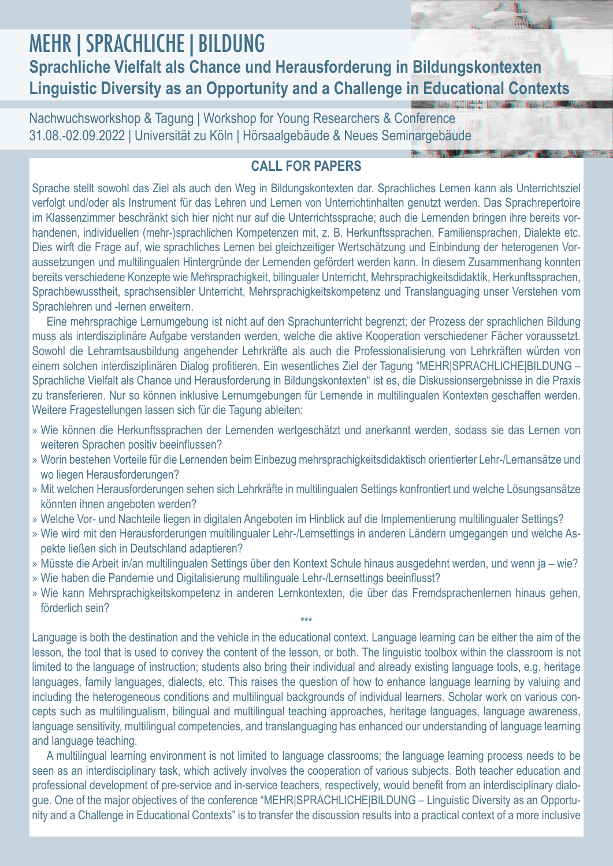## MEHR|SPRACHLICHE|BILDUNG **Sprachliche Vielfalt als Chance und Herausforderung in Bildungskontexten Linguistic Diversity as an Opportunity and a Challenge in Educational Contexts**

Nachwuchsworkshop & Tagung | Workshop for Young Researchers & Conference 31.08.-02.09.2022 | Universität zu Köln | Hörsaalgebäude & Neues Seminargebäude

## **CALL FOR PAPERS**

Sprache stellt sowohl das Ziel als auch den Weg in Bildungskontexten dar. Sprachliches Lernen kann als Unterrichtsziel verfolgt und/oder als Instrument für das Lehren und Lernen von Unterrichtinhalten genutzt werden. Das Sprachrepertoire im Klassenzimmer beschränkt sich hier nicht nur auf die Unterrichtssprache; auch die Lernenden bringen ihre bereits vorhandenen, individuellen (mehr-)sprachlichen Kompetenzen mit, z. B. Herkunftssprachen, Familiensprachen, Dialekte etc. Dies wirft die Frage auf, wie sprachliches Lernen bei gleichzeitiger Wertschätzung und Einbindung der heterogenen Voraussetzungen und multilingualen Hintergründe der Lernenden gefördert werden kann. In diesem Zusammenhang konnten bereits verschiedene Konzepte wie Mehrsprachigkeit, bilingualer Unterricht, Mehrsprachigkeitsdidaktik, Herkunftssprachen, Sprachbewusstheit, sprachsensibler Unterricht, Mehrsprachigkeitskompetenz und Translanguaging unser Verstehen vom Sprachlehren und -lernen erweitern.

Eine mehrsprachige Lernumgebung ist nicht auf den Sprachunterricht begrenzt; der Prozess der sprachlichen Bildung muss als interdisziplinäre Aufgabe verstanden werden, welche die aktive Kooperation verschiedener Fächer voraussetzt. Sowohl die Lehramtsausbildung angehender Lehrkräfte als auch die Professionalisierung von Lehrkräften würden von einem solchen interdisziplinären Dialog profitieren. Ein wesentliches Ziel der Tagung "MEHR|SPRACHLICHE|BILDUNG – Sprachliche Vielfalt als Chance und Herausforderung in Bildungskontexten" ist es, die Diskussionsergebnisse in die Praxis zu transferieren. Nur so können inklusive Lernumgebungen für Lernende in multilingualen Kontexten geschaffen werden. Weitere Fragestellungen lassen sich für die Tagung ableiten:

- » Wie können die Herkunftssprachen der Lernenden wertgeschätzt und anerkannt werden, sodass sie das Lernen von weiteren Sprachen positiv beeinflussen?
- » Worin bestehen Vorteile für die Lernenden beim Einbezug mehrsprachigkeitsdidaktisch orientierter Lehr-/Lernansätze und wo liegen Herausforderungen?
- » Mit welchen Herausforderungen sehen sich Lehrkräfte in multilingualen Settings konfrontiert und welche Lösungsansätze könnten ihnen angeboten werden?
- » Welche Vor- und Nachteile liegen in digitalen Angeboten im Hinblick auf die Implementierung multilingualer Settings?
- » Wie wird mit den Herausforderungen multilingualer Lehr-/Lernsettings in anderen Ländern umgegangen und welche Aspekte ließen sich in Deutschland adaptieren?
- » Müsste die Arbeit in/an multilingualen Settings über den Kontext Schule hinaus ausgedehnt werden, und wenn ja wie?
- » Wie haben die Pandemie und Digitalisierung multilinguale Lehr-/Lernsettings beeinflusst?
- » Wie kann Mehrsprachigkeitskompetenz in anderen Lernkontexten, die über das Fremdsprachenlernen hinaus gehen, förderlich sein? \*\*\*

Language is both the destination and the vehicle in the educational context. Language learning can be either the aim of the lesson, the tool that is used to convey the content of the lesson, or both. The linguistic toolbox within the classroom is not limited to the language of instruction; students also bring their individual and already existing language tools, e.g. heritage languages, family languages, dialects, etc. This raises the question of how to enhance language learning by valuing and including the heterogeneous conditions and multilingual backgrounds of individual learners. Scholar work on various concepts such as multilingualism, bilingual and multilingual teaching approaches, heritage languages, language awareness, language sensitivity, multilingual competencies, and translanguaging has enhanced our understanding of language learning and language teaching.

A multilingual learning environment is not limited to language classrooms; the language learning process needs to be seen as an interdisciplinary task, which actively involves the cooperation of various subjects. Both teacher education and professional development of pre-service and in-service teachers, respectively, would benefit from an interdisciplinary dialogue. One of the major objectives of the conference "MEHR|SPRACHLICHE|BILDUNG – Linguistic Diversity as an Opportunity and a Challenge in Educational Contexts" is to transfer the discussion results into a practical context of a more inclusive